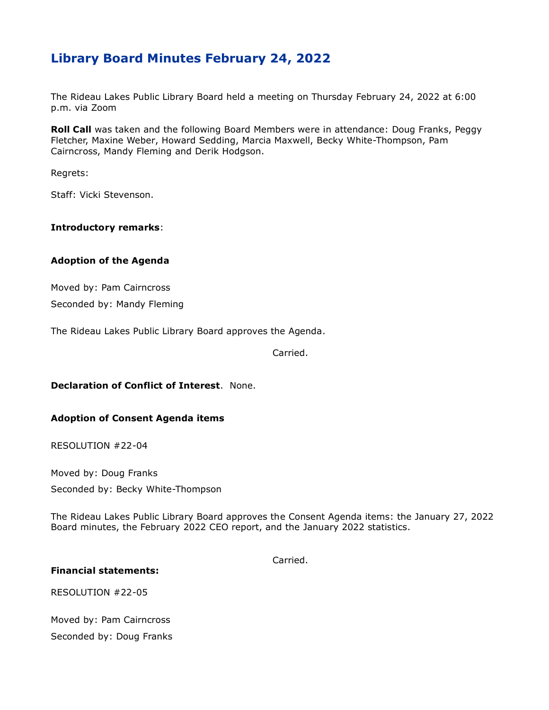# **Library Board Minutes February 24, 2022**

The Rideau Lakes Public Library Board held a meeting on Thursday February 24, 2022 at 6:00 p.m. via Zoom

**Roll Call** was taken and the following Board Members were in attendance: Doug Franks, Peggy Fletcher, Maxine Weber, Howard Sedding, Marcia Maxwell, Becky White-Thompson, Pam Cairncross, Mandy Fleming and Derik Hodgson.

Regrets:

Staff: Vicki Stevenson.

#### **Introductory remarks**:

### **Adoption of the Agenda**

Moved by: Pam Cairncross Seconded by: Mandy Fleming

The Rideau Lakes Public Library Board approves the Agenda.

Carried.

## **Declaration of Conflict of Interest**. None.

### **Adoption of Consent Agenda items**

RESOLUTION #22-04

Moved by: Doug Franks Seconded by: Becky White-Thompson

The Rideau Lakes Public Library Board approves the Consent Agenda items: the January 27, 2022 Board minutes, the February 2022 CEO report, and the January 2022 statistics.

Carried.

#### **Financial statements:**

RESOLUTION #22-05

Moved by: Pam Cairncross Seconded by: Doug Franks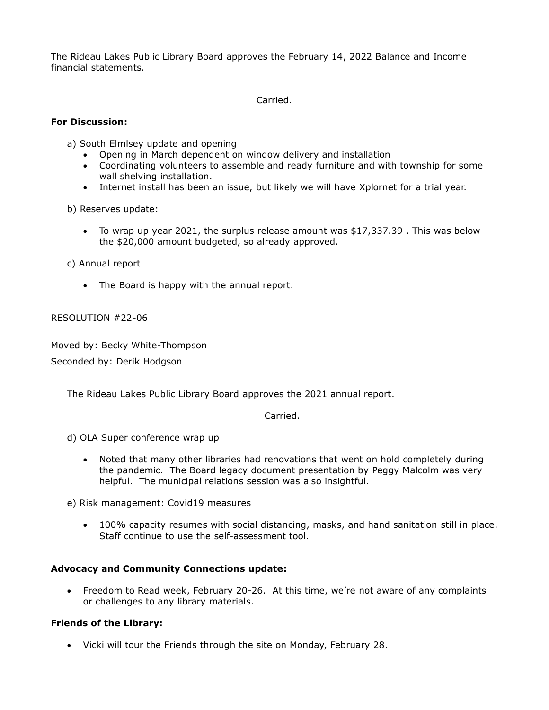The Rideau Lakes Public Library Board approves the February 14, 2022 Balance and Income financial statements.

Carried.

### **For Discussion:**

a) South Elmlsey update and opening

- Opening in March dependent on window delivery and installation
- Coordinating volunteers to assemble and ready furniture and with township for some wall shelving installation.
- Internet install has been an issue, but likely we will have Xplornet for a trial year.

b) Reserves update:

 To wrap up year 2021, the surplus release amount was \$17,337.39 . This was below the \$20,000 amount budgeted, so already approved.

c) Annual report

• The Board is happy with the annual report.

RESOLUTION #22-06

Moved by: Becky White-Thompson

Seconded by: Derik Hodgson

The Rideau Lakes Public Library Board approves the 2021 annual report.

Carried.

d) OLA Super conference wrap up

 Noted that many other libraries had renovations that went on hold completely during the pandemic. The Board legacy document presentation by Peggy Malcolm was very helpful. The municipal relations session was also insightful.

e) Risk management: Covid19 measures

 100% capacity resumes with social distancing, masks, and hand sanitation still in place. Staff continue to use the self-assessment tool.

## **Advocacy and Community Connections update:**

 Freedom to Read week, February 20-26. At this time, we're not aware of any complaints or challenges to any library materials.

## **Friends of the Library:**

Vicki will tour the Friends through the site on Monday, February 28.